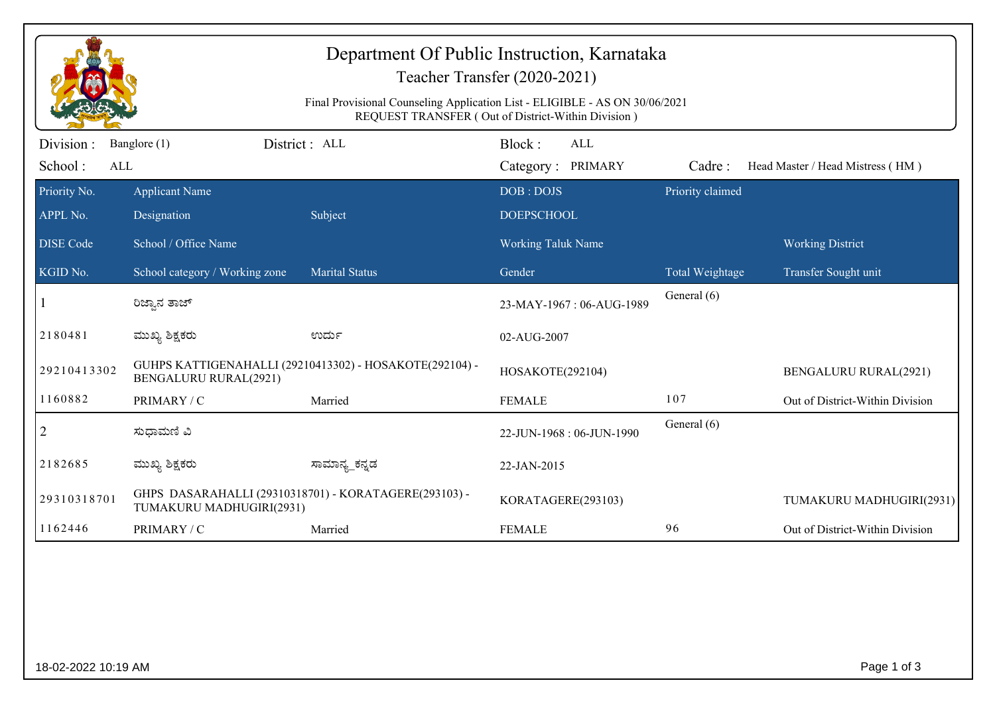| Department Of Public Instruction, Karnataka<br>Teacher Transfer (2020-2021)<br>Final Provisional Counseling Application List - ELIGIBLE - AS ON 30/06/2021<br>REQUEST TRANSFER (Out of District-Within Division) |                                                                                         |                       |                                           |                  |                                  |  |  |
|------------------------------------------------------------------------------------------------------------------------------------------------------------------------------------------------------------------|-----------------------------------------------------------------------------------------|-----------------------|-------------------------------------------|------------------|----------------------------------|--|--|
| Division :<br>School:<br>ALL                                                                                                                                                                                     | Banglore (1)                                                                            | District: ALL         | Block:<br><b>ALL</b><br>Category: PRIMARY | Cadre:           | Head Master / Head Mistress (HM) |  |  |
| Priority No.<br>APPL No.                                                                                                                                                                                         | <b>Applicant Name</b><br>Designation                                                    | Subject               | DOB: DOJS<br><b>DOEPSCHOOL</b>            | Priority claimed |                                  |  |  |
| <b>DISE</b> Code                                                                                                                                                                                                 | School / Office Name                                                                    |                       | <b>Working Taluk Name</b>                 |                  | <b>Working District</b>          |  |  |
| KGID No.                                                                                                                                                                                                         | School category / Working zone                                                          | <b>Marital Status</b> | Gender                                    | Total Weightage  | Transfer Sought unit             |  |  |
|                                                                                                                                                                                                                  | ರಿಜ್ಞಾನ ತಾಜ್                                                                            |                       | 23-MAY-1967: 06-AUG-1989                  | General (6)      |                                  |  |  |
| 2180481                                                                                                                                                                                                          | ಮುಖ್ಯ ಶಿಕ್ಷಕರು                                                                          | ಉರ್ದು                 | 02-AUG-2007                               |                  |                                  |  |  |
| 29210413302                                                                                                                                                                                                      | GUHPS KATTIGENAHALLI (29210413302) - HOSAKOTE(292104) -<br><b>BENGALURU RURAL(2921)</b> |                       | HOSAKOTE(292104)                          |                  | <b>BENGALURU RURAL(2921)</b>     |  |  |
| 1160882                                                                                                                                                                                                          | PRIMARY / C                                                                             | Married               | <b>FEMALE</b>                             | 107              | Out of District-Within Division  |  |  |
| $\overline{2}$                                                                                                                                                                                                   | ಸುಧಾಮಣಿ ವಿ                                                                              |                       | 22-JUN-1968: 06-JUN-1990                  | General (6)      |                                  |  |  |
| 2182685                                                                                                                                                                                                          | ಮುಖ್ಯ ಶಿಕ್ಷಕರು                                                                          | ಸಾಮಾನ್ಯ_ಕನ್ನಡ         | 22-JAN-2015                               |                  |                                  |  |  |
| 29310318701                                                                                                                                                                                                      | GHPS DASARAHALLI (29310318701) - KORATAGERE(293103) -<br>TUMAKURU MADHUGIRI(2931)       |                       | KORATAGERE(293103)                        |                  | TUMAKURU MADHUGIRI(2931)         |  |  |
| 1162446                                                                                                                                                                                                          | PRIMARY / C                                                                             | Married               | <b>FEMALE</b>                             | 96               | Out of District-Within Division  |  |  |
|                                                                                                                                                                                                                  |                                                                                         |                       |                                           |                  |                                  |  |  |
| 18-02-2022 10:19 AM                                                                                                                                                                                              |                                                                                         |                       |                                           | Page 1 of 3      |                                  |  |  |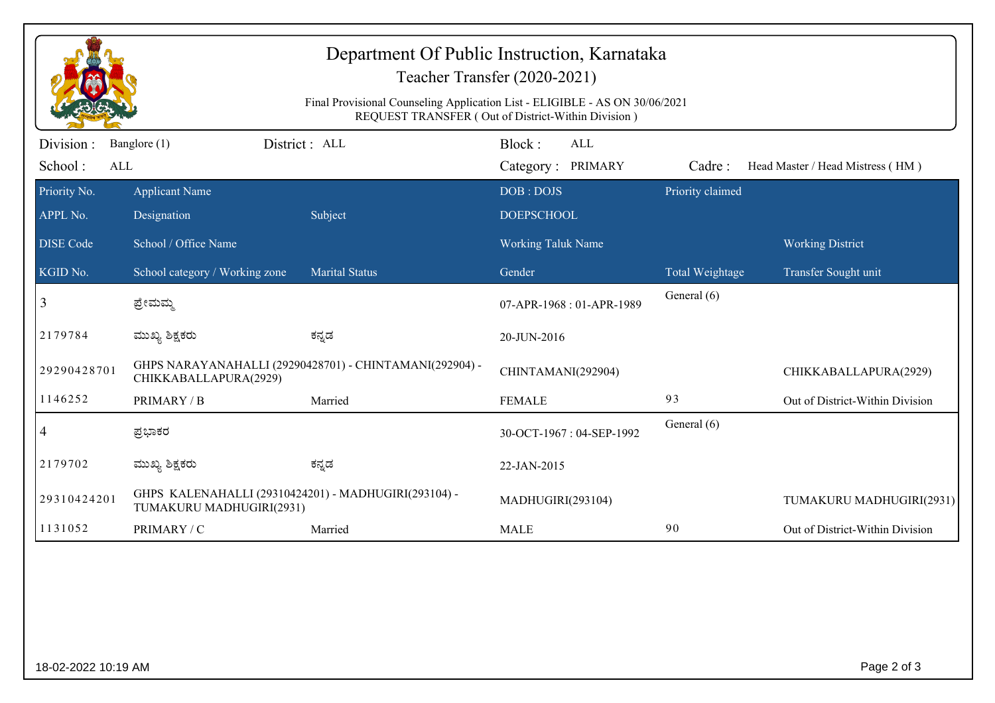| Department Of Public Instruction, Karnataka<br>Teacher Transfer (2020-2021)<br>Final Provisional Counseling Application List - ELIGIBLE - AS ON 30/06/2021<br>REQUEST TRANSFER (Out of District-Within Division) |                                                                                  |                       |                                           |                  |                                  |  |  |
|------------------------------------------------------------------------------------------------------------------------------------------------------------------------------------------------------------------|----------------------------------------------------------------------------------|-----------------------|-------------------------------------------|------------------|----------------------------------|--|--|
| Division:<br>School:<br>ALL                                                                                                                                                                                      | Banglore (1)                                                                     | District : ALL        | Block:<br><b>ALL</b><br>Category: PRIMARY | Cadre:           | Head Master / Head Mistress (HM) |  |  |
| Priority No.<br>APPL No.                                                                                                                                                                                         | <b>Applicant Name</b><br>Designation                                             | Subject               | DOB: DOJS<br><b>DOEPSCHOOL</b>            | Priority claimed |                                  |  |  |
| <b>DISE Code</b>                                                                                                                                                                                                 | School / Office Name                                                             |                       | <b>Working Taluk Name</b>                 |                  | <b>Working District</b>          |  |  |
| KGID No.                                                                                                                                                                                                         | School category / Working zone                                                   | <b>Marital Status</b> | Gender                                    | Total Weightage  | Transfer Sought unit             |  |  |
| 3                                                                                                                                                                                                                | ಪ್ರೇಮಮ್ಮ                                                                         |                       | 07-APR-1968: 01-APR-1989                  | General (6)      |                                  |  |  |
| 2179784                                                                                                                                                                                                          | ಮುಖ್ಯ ಶಿಕ್ಷಕರು                                                                   | ಕನ್ನಡ                 | 20-JUN-2016                               |                  |                                  |  |  |
| 29290428701                                                                                                                                                                                                      | GHPS NARAYANAHALLI (29290428701) - CHINTAMANI(292904) -<br>CHIKKABALLAPURA(2929) |                       | CHINTAMANI(292904)                        |                  | CHIKKABALLAPURA(2929)            |  |  |
| 1146252                                                                                                                                                                                                          | PRIMARY / B                                                                      | Married               | <b>FEMALE</b>                             | 93               | Out of District-Within Division  |  |  |
| $\overline{4}$                                                                                                                                                                                                   | ಪ್ರಭಾಕರ                                                                          |                       | 30-OCT-1967: 04-SEP-1992                  | General (6)      |                                  |  |  |
| 2179702                                                                                                                                                                                                          | ಮುಖ್ಯ ಶಿಕ್ಷಕರು                                                                   | ಕನ್ನಡ                 | 22-JAN-2015                               |                  |                                  |  |  |
| 29310424201                                                                                                                                                                                                      | GHPS KALENAHALLI (29310424201) - MADHUGIRI(293104) -<br>TUMAKURU MADHUGIRI(2931) |                       | MADHUGIRI(293104)                         |                  | TUMAKURU MADHUGIRI(2931)         |  |  |
| 1131052                                                                                                                                                                                                          | PRIMARY / C                                                                      | Married               | <b>MALE</b>                               | 90               | Out of District-Within Division  |  |  |
|                                                                                                                                                                                                                  |                                                                                  |                       |                                           |                  |                                  |  |  |
| 18-02-2022 10:19 AM                                                                                                                                                                                              |                                                                                  |                       |                                           |                  | Page 2 of 3                      |  |  |